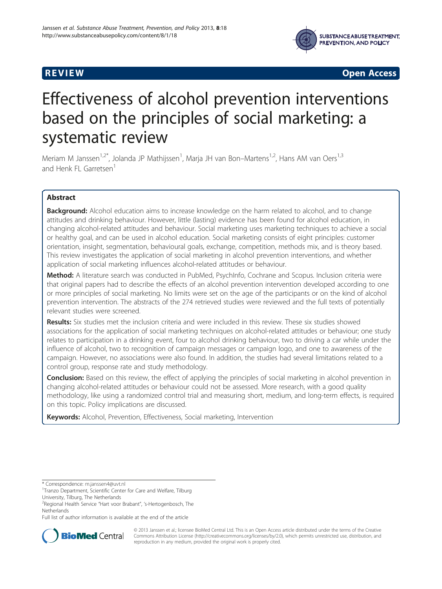

**REVIEW CONSTRUCTION CONSTRUCTION CONSTRUCTS** 

# Effectiveness of alcohol prevention interventions based on the principles of social marketing: a systematic review

Meriam M Janssen<sup>1,2\*</sup>, Jolanda JP Mathijssen<sup>1</sup>, Marja JH van Bon–Martens<sup>1,2</sup>, Hans AM van Oers<sup>1,3</sup> and Henk FL Garretsen<sup>1</sup>

# Abstract

**Background:** Alcohol education aims to increase knowledge on the harm related to alcohol, and to change attitudes and drinking behaviour. However, little (lasting) evidence has been found for alcohol education, in changing alcohol-related attitudes and behaviour. Social marketing uses marketing techniques to achieve a social or healthy goal, and can be used in alcohol education. Social marketing consists of eight principles: customer orientation, insight, segmentation, behavioural goals, exchange, competition, methods mix, and is theory based. This review investigates the application of social marketing in alcohol prevention interventions, and whether application of social marketing influences alcohol-related attitudes or behaviour.

Method: A literature search was conducted in PubMed, PsychInfo, Cochrane and Scopus. Inclusion criteria were that original papers had to describe the effects of an alcohol prevention intervention developed according to one or more principles of social marketing. No limits were set on the age of the participants or on the kind of alcohol prevention intervention. The abstracts of the 274 retrieved studies were reviewed and the full texts of potentially relevant studies were screened.

Results: Six studies met the inclusion criteria and were included in this review. These six studies showed associations for the application of social marketing techniques on alcohol-related attitudes or behaviour; one study relates to participation in a drinking event, four to alcohol drinking behaviour, two to driving a car while under the influence of alcohol, two to recognition of campaign messages or campaign logo, and one to awareness of the campaign. However, no associations were also found. In addition, the studies had several limitations related to a control group, response rate and study methodology.

**Conclusion:** Based on this review, the effect of applying the principles of social marketing in alcohol prevention in changing alcohol-related attitudes or behaviour could not be assessed. More research, with a good quality methodology, like using a randomized control trial and measuring short, medium, and long-term effects, is required on this topic. Policy implications are discussed.

Keywords: Alcohol, Prevention, Effectiveness, Social marketing, Intervention

Full list of author information is available at the end of the article



© 2013 Janssen et al.; licensee BioMed Central Ltd. This is an Open Access article distributed under the terms of the Creative Commons Attribution License [\(http://creativecommons.org/licenses/by/2.0\)](http://creativecommons.org/licenses/by/2.0), which permits unrestricted use, distribution, and reproduction in any medium, provided the original work is properly cited.

<sup>\*</sup> Correspondence: [m.janssen4@uvt.nl](mailto:m.janssen4@uvt.nl) <sup>1</sup>

<sup>&</sup>lt;sup>1</sup>Tranzo Department, Scientific Center for Care and Welfare, Tilburg University, Tilburg, The Netherlands

<sup>2</sup> Regional Health Service "Hart voor Brabant", 's-Hertogenbosch, The Netherlands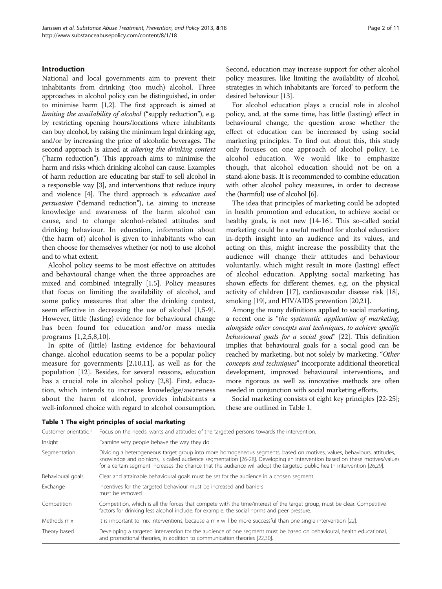# <span id="page-1-0"></span>Introduction

National and local governments aim to prevent their inhabitants from drinking (too much) alcohol. Three approaches in alcohol policy can be distinguished, in order to minimise harm [[1,2](#page-9-0)]. The first approach is aimed at limiting the availability of alcohol ("supply reduction"), e.g. by restricting opening hours/locations where inhabitants can buy alcohol, by raising the minimum legal drinking age, and/or by increasing the price of alcoholic beverages. The second approach is aimed at altering the drinking context ("harm reduction"). This approach aims to minimise the harm and risks which drinking alcohol can cause. Examples of harm reduction are educating bar staff to sell alcohol in a responsible way [\[3\]](#page-9-0), and interventions that reduce injury and violence [\[4\]](#page-9-0). The third approach is education and persuasion ("demand reduction"), i.e. aiming to increase knowledge and awareness of the harm alcohol can cause, and to change alcohol-related attitudes and drinking behaviour. In education, information about (the harm of) alcohol is given to inhabitants who can then choose for themselves whether (or not) to use alcohol and to what extent.

Alcohol policy seems to be most effective on attitudes and behavioural change when the three approaches are mixed and combined integrally [[1,5\]](#page-9-0). Policy measures that focus on limiting the availability of alcohol, and some policy measures that alter the drinking context, seem effective in decreasing the use of alcohol [[1,5-9](#page-9-0)]. However, little (lasting) evidence for behavioural change has been found for education and/or mass media programs [[1,2](#page-9-0),[5,8,10](#page-9-0)].

In spite of (little) lasting evidence for behavioural change, alcohol education seems to be a popular policy measure for governments [[2,10,11\]](#page-9-0), as well as for the population [\[12](#page-9-0)]. Besides, for several reasons, education has a crucial role in alcohol policy [[2,8\]](#page-9-0). First, education, which intends to increase knowledge/awareness about the harm of alcohol, provides inhabitants a well-informed choice with regard to alcohol consumption. Second, education may increase support for other alcohol policy measures, like limiting the availability of alcohol, strategies in which inhabitants are 'forced' to perform the desired behaviour [\[13\]](#page-9-0).

For alcohol education plays a crucial role in alcohol policy, and, at the same time, has little (lasting) effect in behavioural change, the question arose whether the effect of education can be increased by using social marketing principles. To find out about this, this study only focuses on one approach of alcohol policy, i.e. alcohol education. We would like to emphasize though, that alcohol education should not be on a stand-alone basis. It is recommended to combine education with other alcohol policy measures, in order to decrease the (harmful) use of alcohol [\[6\]](#page-9-0).

The idea that principles of marketing could be adopted in health promotion and education, to achieve social or healthy goals, is not new [\[14-16](#page-9-0)]. This so-called social marketing could be a useful method for alcohol education: in-depth insight into an audience and its values, and acting on this, might increase the possibility that the audience will change their attitudes and behaviour voluntarily, which might result in more (lasting) effect of alcohol education. Applying social marketing has shown effects for different themes, e.g. on the physical activity of children [\[17\]](#page-9-0), cardiovascular disease risk [[18](#page-9-0)], smoking [\[19](#page-9-0)], and HIV/AIDS prevention [[20,21\]](#page-9-0).

Among the many definitions applied to social marketing, a recent one is "the systematic application of marketing, alongside other concepts and techniques, to achieve specific behavioural goals for a social good" [[22](#page-9-0)]. This definition implies that behavioural goals for a social good can be reached by marketing, but not solely by marketing. "Other concepts and techniques" incorporate additional theoretical development, improved behavioural interventions, and more rigorous as well as innovative methods are often needed in conjunction with social marketing efforts.

Social marketing consists of eight key principles [[22](#page-9-0)-[25](#page-9-0)]; these are outlined in Table 1.

| Customer orientation | Focus on the needs, wants and attitudes of the targeted persons towards the intervention.                                                                                                                                                                                                                                                                                       |
|----------------------|---------------------------------------------------------------------------------------------------------------------------------------------------------------------------------------------------------------------------------------------------------------------------------------------------------------------------------------------------------------------------------|
| Insight              | Examine why people behave the way they do.                                                                                                                                                                                                                                                                                                                                      |
| Segmentation         | Dividing a heterogeneous target group into more homogeneous segments, based on motives, values, behaviours, attitudes,<br>knowledge and opinions, is called audience segmentation [26-28]. Developing an intervention based on these motives/values<br>for a certain segment increases the chance that the audience will adopt the targeted public health intervention [26,29]. |
| Behavioural goals    | Clear and attainable behavioural goals must be set for the audience in a chosen segment.                                                                                                                                                                                                                                                                                        |
| Exchange             | Incentives for the targeted behaviour must be increased and barriers<br>must be removed.                                                                                                                                                                                                                                                                                        |
| Competition          | Competition, which is all the forces that compete with the time/interest of the target group, must be clear. Competitive<br>factors for drinking less alcohol include, for example, the social norms and peer pressure.                                                                                                                                                         |
| Methods mix          | It is important to mix interventions, because a mix will be more successful than one single intervention [22].                                                                                                                                                                                                                                                                  |
| Theory based         | Developing a targeted intervention for the audience of one segment must be based on behavioural, health educational,<br>and promotional theories, in addition to communication theories [22,30].                                                                                                                                                                                |

Table 1 The eight principles of social marketing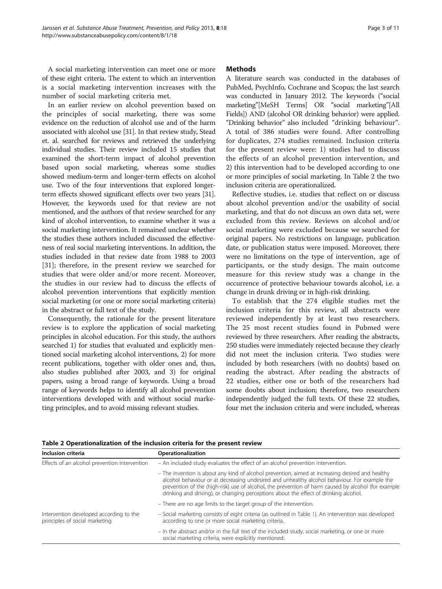A social marketing intervention can meet one or more of these eight criteria. The extent to which an intervention is a social marketing intervention increases with the number of social marketing criteria met.

In an earlier review on alcohol prevention based on the principles of social marketing, there was some evidence on the reduction of alcohol use and of the harm associated with alcohol use [[31](#page-9-0)]. In that review study, Stead et. al. searched for reviews and retrieved the underlying individual studies. Their review included 15 studies that examined the short-term impact of alcohol prevention based upon social marketing, whereas some studies showed medium-term and longer-term effects on alcohol use. Two of the four interventions that explored longerterm effects showed significant effects over two years [\[31](#page-9-0)]. However, the keywords used for that review are not mentioned, and the authors of that review searched for any kind of alcohol intervention, to examine whether it was a social marketing intervention. It remained unclear whether the studies these authors included discussed the effectiveness of real social marketing interventions. In addition, the studies included in that review date from 1988 to 2003 [[31\]](#page-9-0); therefore, in the present review we searched for studies that were older and/or more recent. Moreover, the studies in our review had to discuss the effects of alcohol prevention interventions that explicitly mention social marketing (or one or more social marketing criteria) in the abstract or full text of the study.

Consequently, the rationale for the present literature review is to explore the application of social marketing principles in alcohol education. For this study, the authors searched 1) for studies that evaluated and explicitly mentioned social marketing alcohol interventions, 2) for more recent publications, together with older ones and, thus, also studies published after 2003, and 3) for original papers, using a broad range of keywords. Using a broad range of keywords helps to identify all alcohol prevention interventions developed with and without social marketing principles, and to avoid missing relevant studies.

# **Methods**

A literature search was conducted in the databases of PubMed, PsychInfo, Cochrane and Scopus; the last search was conducted in January 2012. The keywords ("social marketing"[MeSH Terms] OR "social marketing"[All Fields]) AND (alcohol OR drinking behavior) were applied. "Drinking behavior" also included "drinking behaviour". A total of 386 studies were found. After controlling for duplicates, 274 studies remained. Inclusion criteria for the present review were: 1) studies had to discuss the effects of an alcohol prevention intervention, and 2) this intervention had to be developed according to one or more principles of social marketing. In Table 2 the two inclusion criteria are operationalized.

Reflective studies, i.e. studies that reflect on or discuss about alcohol prevention and/or the usability of social marketing, and that do not discuss an own data set, were excluded from this review. Reviews on alcohol and/or social marketing were excluded because we searched for original papers. No restrictions on language, publication date, or publication status were imposed. Moreover, there were no limitations on the type of intervention, age of participants, or the study design. The main outcome measure for this review study was a change in the occurrence of protective behaviour towards alcohol, i.e. a change in drunk driving or in high-risk drinking.

To establish that the 274 eligible studies met the inclusion criteria for this review, all abstracts were reviewed independently by at least two researchers. The 25 most recent studies found in Pubmed were reviewed by three researchers. After reading the abstracts, 250 studies were immediately rejected because they clearly did not meet the inclusion criteria. Two studies were included by both researchers (with no doubts) based on reading the abstract. After reading the abstracts of 22 studies, either one or both of the researchers had some doubts about inclusion; therefore, two researchers independently judged the full texts. Of these 22 studies, four met the inclusion criteria and were included, whereas

|  |  | Table 2 Operationalization of the inclusion criteria for the present review |
|--|--|-----------------------------------------------------------------------------|
|--|--|-----------------------------------------------------------------------------|

| Inclusion criteria                                                        | Operationalization                                                                                                                                                                                                                                                                                                                                                                               |  |  |  |
|---------------------------------------------------------------------------|--------------------------------------------------------------------------------------------------------------------------------------------------------------------------------------------------------------------------------------------------------------------------------------------------------------------------------------------------------------------------------------------------|--|--|--|
| Effects of an alcohol prevention intervention                             | - An included study evaluates the effect of an alcohol prevention intervention.                                                                                                                                                                                                                                                                                                                  |  |  |  |
|                                                                           | - The invention is about any kind of alcohol prevention, aimed at increasing desired and healthy<br>alcohol behaviour or at decreasing undesired and unhealthy alcohol behaviour. For example the<br>prevention of the (high-risk) use of alcohol, the prevention of harm caused by alcohol (for example<br>drinking and driving), or changing perceptions about the effect of drinking alcohol. |  |  |  |
|                                                                           | - There are no age limits to the target group of the intervention.                                                                                                                                                                                                                                                                                                                               |  |  |  |
| Intervention developed according to the<br>principles of social marketing | - Social marketing consists of eight criteria (as outlined in Table 1). An intervention was developed<br>according to one or more social marketing criteria.                                                                                                                                                                                                                                     |  |  |  |
|                                                                           | - In the abstract and/or in the full text of the included study, social marketing, or one or more<br>social marketing criteria, were explicitly mentioned.                                                                                                                                                                                                                                       |  |  |  |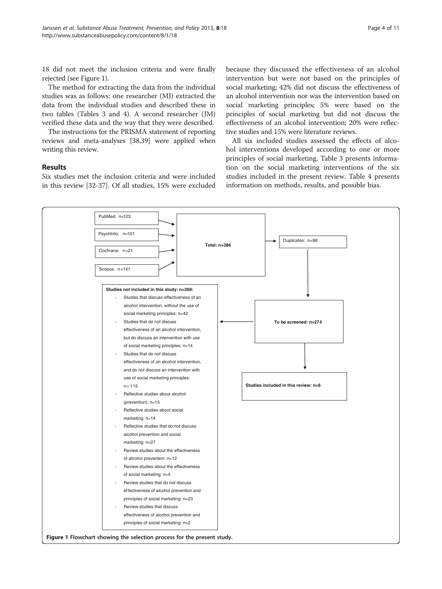18 did not meet the inclusion criteria and were finally rejected (see Figure 1).

The method for extracting the data from the individual studies was as follows: one researcher (MJ) extracted the data from the individual studies and described these in two tables (Tables [3](#page-4-0) and [4](#page-5-0)). A second researcher (JM) verified these data and the way that they were described.

The instructions for the PRISMA statement of reporting reviews and meta-analyses [\[38,39\]](#page-10-0) were applied when writing this review.

# Results

Six studies met the inclusion criteria and were included in this review [\[32-](#page-9-0)[37](#page-10-0)]. Of all studies, 15% were excluded

because they discussed the effectiveness of an alcohol intervention but were not based on the principles of social marketing; 42% did not discuss the effectiveness of an alcohol intervention nor was the intervention based on social marketing principles; 5% were based on the principles of social marketing but did not discuss the effectiveness of an alcohol intervention; 20% were reflective studies and 15% were literature reviews.

All six included studies assessed the effects of alcohol interventions developed according to one or more principles of social marketing. Table [3](#page-4-0) presents information on the social marketing interventions of the six studies included in the present review. Table [4](#page-5-0) presents information on methods, results, and possible bias.

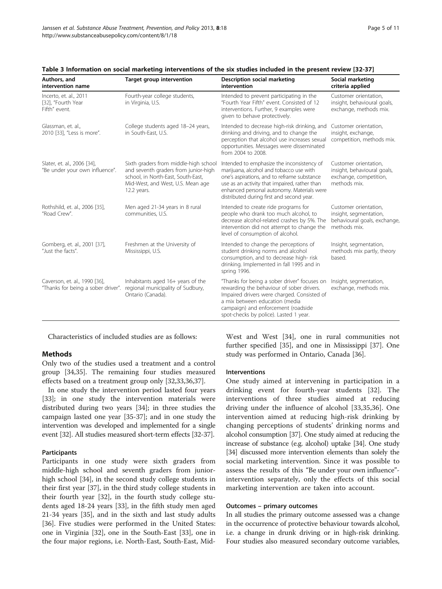| Page 5 of 11 |  |  |
|--------------|--|--|
|--------------|--|--|

| Authors, and<br>intervention name                                   | <b>Target group intervention</b>                                                                                                                                        | Description social marketing<br>intervention                                                                                                                                                                                                                                     | Social marketing<br>criteria applied                                                            |
|---------------------------------------------------------------------|-------------------------------------------------------------------------------------------------------------------------------------------------------------------------|----------------------------------------------------------------------------------------------------------------------------------------------------------------------------------------------------------------------------------------------------------------------------------|-------------------------------------------------------------------------------------------------|
| Incerto, et. al., 2011<br>[32], "Fourth Year<br>Fifth" event.       | Fourth-year college students,<br>in Virginia, U.S.                                                                                                                      | Intended to prevent participating in the<br>"Fourth Year Fifth" event. Consisted of 12<br>interventions. Further, 9 examples were<br>given to behave protectively.                                                                                                               | Customer orientation.<br>insight, behavioural goals,<br>exchange, methods mix.                  |
| Glassman, et. al.,<br>2010 [33], "Less is more".                    | College students aged 18-24 years,<br>in South-East. U.S.                                                                                                               | Intended to decrease high-risk drinking, and<br>drinking and driving, and to change the<br>perception that alcohol use increases sexual<br>opportunities. Messages were disseminated<br>from 2004 to 2008.                                                                       | Customer orientation,<br>insight, exchange,<br>competition, methods mix.                        |
| Slater, et. al., 2006 [34],<br>"Be under your own influence".       | Sixth graders from middle-high school<br>and seventh graders from junior-high<br>school, in North-East, South-East,<br>Mid-West, and West, U.S. Mean age<br>12.2 years. | Intended to emphasize the inconsistency of<br>marijuana, alcohol and tobacco use with<br>one's aspirations, and to reframe substance<br>use as an activity that impaired, rather than<br>enhanced personal autonomy. Materials were<br>distributed during first and second year. | Customer orientation,<br>insight, behavioural goals,<br>exchange, competition,<br>methods mix.  |
| Rothshild, et. al., 2006 [35],<br>"Road Crew".                      | Men aged 21-34 years in 8 rural<br>communities, U.S.                                                                                                                    | Intended to create ride programs for<br>people who drank too much alcohol, to<br>decrease alcohol-related crashes by 5%. The<br>intervention did not attempt to change the<br>level of consumption of alcohol.                                                                   | Customer orientation,<br>insight, segmentation,<br>behavioural goals, exchange,<br>methods mix. |
| Gomberg, et. al., 2001 [37],<br>"Just the facts".                   | Freshmen at the University of<br>Mississippi, U.S.                                                                                                                      | Intended to change the perceptions of<br>student drinking norms and alcohol<br>consumption, and to decrease high-risk<br>drinking. Implemented in fall 1995 and in<br>spring 1996.                                                                                               | Insight, segmentation,<br>methods mix partly, theory<br>based.                                  |
| Caverson, et. al., 1990 [36],<br>"Thanks for being a sober driver". | Inhabitants aged 16+ years of the<br>regional municipality of Sudbury,<br>Ontario (Canada).                                                                             | "Thanks for being a sober driver" focuses on<br>rewarding the behaviour of sober drivers.<br>Impaired drivers were charged. Consisted of<br>a mix between education (media<br>campaign) and enforcement (roadside<br>spot-checks by police). Lasted 1 year.                      | Insight, segmentation,<br>exchange, methods mix.                                                |

<span id="page-4-0"></span>

|  |  |  |  | Table 3 Information on social marketing interventions of the six studies included in the present review [32-37] |  |  |  |  |  |  |  |  |  |
|--|--|--|--|-----------------------------------------------------------------------------------------------------------------|--|--|--|--|--|--|--|--|--|
|--|--|--|--|-----------------------------------------------------------------------------------------------------------------|--|--|--|--|--|--|--|--|--|

Characteristics of included studies are as follows:

# **Methods**

Only two of the studies used a treatment and a control group [\[34](#page-9-0)[,35\]](#page-10-0). The remaining four studies measured effects based on a treatment group only [\[32,33,](#page-9-0)[36,37\]](#page-10-0).

In one study the intervention period lasted four years [[33\]](#page-9-0); in one study the intervention materials were distributed during two years [\[34\]](#page-9-0); in three studies the campaign lasted one year [\[35-37](#page-10-0)]; and in one study the intervention was developed and implemented for a single event [[32](#page-9-0)]. All studies measured short-term effects [\[32](#page-9-0)[-37\]](#page-10-0).

### Participants

Participants in one study were sixth graders from middle-high school and seventh graders from juniorhigh school [[34](#page-9-0)], in the second study college students in their first year [\[37\]](#page-10-0), in the third study college students in their fourth year [\[32](#page-9-0)], in the fourth study college students aged 18-24 years [\[33](#page-9-0)], in the fifth study men aged 21-34 years [[35\]](#page-10-0), and in the sixth and last study adults [[36\]](#page-10-0). Five studies were performed in the United States: one in Virginia [[32\]](#page-9-0), one in the South-East [[33\]](#page-9-0), one in the four major regions, i.e. North-East, South-East, Mid-

West and West [[34\]](#page-9-0), one in rural communities not further specified [\[35\]](#page-10-0), and one in Mississippi [[37\]](#page-10-0). One study was performed in Ontario, Canada [[36\]](#page-10-0).

#### Interventions

One study aimed at intervening in participation in a drinking event for fourth-year students [[32\]](#page-9-0). The interventions of three studies aimed at reducing driving under the influence of alcohol [[33,](#page-9-0)[35,36](#page-10-0)]. One intervention aimed at reducing high-risk drinking by changing perceptions of students' drinking norms and alcohol consumption [[37](#page-10-0)]. One study aimed at reducing the increase of substance (e.g. alcohol) uptake [\[34\]](#page-9-0). One study [[34](#page-9-0)] discussed more intervention elements than solely the social marketing intervention. Since it was possible to assess the results of this "Be under your own influence" intervention separately, only the effects of this social marketing intervention are taken into account.

#### Outcomes – primary outcomes

In all studies the primary outcome assessed was a change in the occurrence of protective behaviour towards alcohol, i.e. a change in drunk driving or in high-risk drinking. Four studies also measured secondary outcome variables,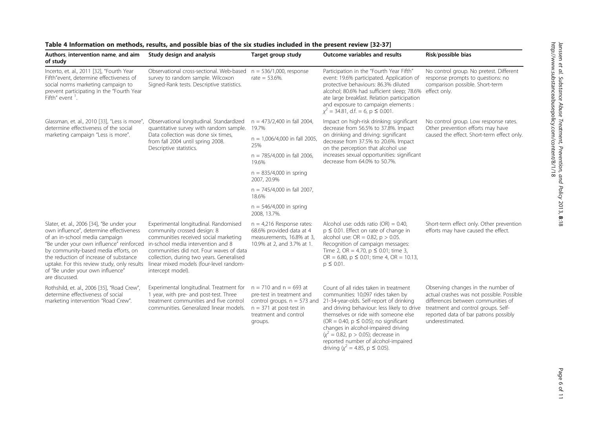| Authors, intervention name, and aim<br>of study                                                                                                                                                                                                                                                                                                            | Study design and analysis                                                                                                                                                                                                                                                                                   | Target group study                                                                                                                                        | <b>Outcome variables and results</b>                                                                                                                                                                                                                                                                                                                                                 | Risk/possible bias                                                                                                                                                                                                       |  |
|------------------------------------------------------------------------------------------------------------------------------------------------------------------------------------------------------------------------------------------------------------------------------------------------------------------------------------------------------------|-------------------------------------------------------------------------------------------------------------------------------------------------------------------------------------------------------------------------------------------------------------------------------------------------------------|-----------------------------------------------------------------------------------------------------------------------------------------------------------|--------------------------------------------------------------------------------------------------------------------------------------------------------------------------------------------------------------------------------------------------------------------------------------------------------------------------------------------------------------------------------------|--------------------------------------------------------------------------------------------------------------------------------------------------------------------------------------------------------------------------|--|
| Incerto, et. al., 2011 [32], "Fourth Year<br>Fifth"event, determine effectiveness of<br>social norms marketing campaign to<br>prevent participating in the "Fourth Year<br>Fifth" event $\,$ .                                                                                                                                                             | Observational cross-sectional. Web-based<br>survey to random sample. Wilcoxon<br>Signed-Rank tests. Descriptive statistics.                                                                                                                                                                                 | $n = 536/1,000$ , response<br>rate = $53.6\%$ .                                                                                                           | Participation in the "Fourth Year Fifth"<br>event: 19.6% participated. Application of<br>protective behaviours: 86.3% diluted<br>alcohol; 80.6% had sufficient sleep; 78.6%<br>ate large breakfast. Relation participation<br>and exposure to campaign elements :<br>$\chi^2$ = 34.81, d.f. = 6, p $\leq$ 0.001.                                                                     | No control group. No pretest. Different<br>response prompts to questions: no<br>comparison possible. Short-term<br>effect only.                                                                                          |  |
| Glassman, et. al., 2010 [33], "Less is more",<br>determine effectiveness of the social                                                                                                                                                                                                                                                                     | Observational longitudinal. Standardized<br>quantitative survey with random sample.                                                                                                                                                                                                                         | $n = 473/2,400$ in fall 2004,<br>19.7%                                                                                                                    | Impact on high-risk drinking: significant<br>decrease from 56.5% to 37.8%. Impact<br>on drinking and driving: significant<br>decrease from 37.5% to 20.6%. Impact<br>on the perception that alcohol use<br>increases sexual opportunities: significant<br>decrease from 64.0% to 50.7%.                                                                                              | No control group. Low response rates.<br>Other prevention efforts may have<br>caused the effect. Short-term effect only.                                                                                                 |  |
| marketing campaign "Less is more".                                                                                                                                                                                                                                                                                                                         | Data collection was done six times,<br>from fall 2004 until spring 2008.<br>Descriptive statistics.                                                                                                                                                                                                         | $n = 1,006/4,000$ in fall 2005,<br>25%                                                                                                                    |                                                                                                                                                                                                                                                                                                                                                                                      |                                                                                                                                                                                                                          |  |
|                                                                                                                                                                                                                                                                                                                                                            |                                                                                                                                                                                                                                                                                                             | $n = 785/4,000$ in fall 2006,<br>19.6%                                                                                                                    |                                                                                                                                                                                                                                                                                                                                                                                      |                                                                                                                                                                                                                          |  |
|                                                                                                                                                                                                                                                                                                                                                            |                                                                                                                                                                                                                                                                                                             | $n = 835/4,000$ in spring<br>2007, 20.9%                                                                                                                  |                                                                                                                                                                                                                                                                                                                                                                                      |                                                                                                                                                                                                                          |  |
|                                                                                                                                                                                                                                                                                                                                                            |                                                                                                                                                                                                                                                                                                             | $n = 745/4,000$ in fall 2007,<br>18.6%                                                                                                                    |                                                                                                                                                                                                                                                                                                                                                                                      |                                                                                                                                                                                                                          |  |
|                                                                                                                                                                                                                                                                                                                                                            |                                                                                                                                                                                                                                                                                                             | $n = 546/4,000$ in spring<br>2008, 13.7%.                                                                                                                 |                                                                                                                                                                                                                                                                                                                                                                                      |                                                                                                                                                                                                                          |  |
| Slater, et. al., 2006 [34], "Be under your<br>own influence", determine effectiveness<br>of an in-school media campaign<br>"Be under your own influence" reinforced<br>by community-based media efforts, on<br>the reduction of increase of substance<br>uptake. For this review study, only results<br>of "Be under your own influence"<br>are discussed. | Experimental longitudinal. Randomised<br>community crossed design: 8<br>communities received social marketing<br>in-school media intervention and 8<br>communities did not. Four waves of data<br>collection, during two years. Generalised<br>linear mixed models (four-level random-<br>intercept model). | $n = 4,216$ Response rates:<br>68.6% provided data at 4<br>measurements, 16.8% at 3,<br>10.9% at 2, and 3.7% at 1.                                        | Alcohol use: odds ratio (OR) = $0.40$ ,<br>$p \le 0.01$ . Effect on rate of change in<br>alcohol use: $OR = 0.82$ , $p > 0.05$ .<br>Recognition of campaign messages:<br>Time 2, OR = 4.70, $p \le 0.01$ ; time 3,<br>OR = 6.80, $p \le 0.01$ ; time 4, OR = 10.13,<br>$p \leq 0.01$ .                                                                                               | Short-term effect only. Other prevention<br>efforts may have caused the effect.                                                                                                                                          |  |
| Rothshild, et. al., 2006 [35], "Road Crew",<br>determine effectiveness of social<br>marketing intervention "Road Crew".                                                                                                                                                                                                                                    | Experimental longitudinal. Treatment for<br>1 year, with pre- and post-test. Three<br>treatment communities and five control<br>communities. Generalized linear models.                                                                                                                                     | $n = 710$ and $n = 693$ at<br>pre-test in treatment and<br>control groups. $n = 573$ and<br>$n = 371$ at post-test in<br>treatment and control<br>groups. | Count of all rides taken in treatment<br>communities: 10,097 rides taken by<br>21-34-year-olds. Self-report of drinking<br>and driving behaviour: less likely to drive<br>themselves or ride with someone else<br>(OR = 0.40, $p \le 0.05$ ); no significant<br>changes in alcohol-impaired driving<br>$(x^2 = 0.82, p > 0.05)$ ; decrease in<br>reported number of alcohol-impaired | Observing changes in the number of<br>actual crashes was not possible. Possible<br>differences between communities of<br>treatment and control groups. Self-<br>reported data of bar patrons possibly<br>underestimated. |  |

driving ( $\chi^2$  = 4.85, p  $\leq$  0.05).

# <span id="page-5-0"></span>Table 4 Information on methods, results, and possible bias of the six studies included in the present review [[32-](#page-9-0)[37\]](#page-10-0)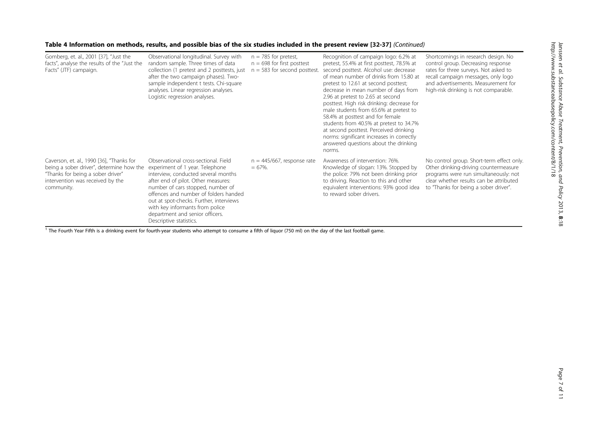|  | Table 4 Information on methods, results, and possible bias of the six studies included in the present review [32-37] (Continued) |  |
|--|----------------------------------------------------------------------------------------------------------------------------------|--|
|--|----------------------------------------------------------------------------------------------------------------------------------|--|

| Gomberg, et. al., 2001 [37], "Just the<br>facts", analyse the results of the "Just the<br>Facts" (JTF) campaign.                                                             | Observational longitudinal. Survey with<br>random sample. Three times of data<br>collection (1 pretest and 2 posttests, just<br>after the two campaign phases). Two-<br>sample independent t tests. Chi-square<br>analyses. Linear regression analyses.<br>Logistic regression analyses.                                                                                        | $n = 785$ for pretest,<br>$n = 698$ for first posttest<br>$n = 583$ for second posttest. | Recognition of campaign logo: 6.2% at<br>pretest, 55.4% at first posttest, 78.5% at<br>second posttest. Alcohol use: decrease<br>of mean number of drinks from 15.80 at<br>pretest to 12.61 at second posttest;<br>decrease in mean number of days from<br>2.96 at pretest to 2.65 at second<br>posttest. High risk drinking: decrease for<br>male students from 65.6% at pretest to<br>58.4% at posttest and for female<br>students from 40.5% at pretest to 34.7%<br>at second posttest. Perceived drinking<br>norms: significant increases in correctly<br>answered questions about the drinking<br>norms. | Shortcomings in research design. No<br>control group. Decreasing response<br>rates for three surveys. Not asked to<br>recall campaign messages, only logo<br>and advertisements. Measurement for<br>high-risk drinking is not comparable. |
|------------------------------------------------------------------------------------------------------------------------------------------------------------------------------|---------------------------------------------------------------------------------------------------------------------------------------------------------------------------------------------------------------------------------------------------------------------------------------------------------------------------------------------------------------------------------|------------------------------------------------------------------------------------------|---------------------------------------------------------------------------------------------------------------------------------------------------------------------------------------------------------------------------------------------------------------------------------------------------------------------------------------------------------------------------------------------------------------------------------------------------------------------------------------------------------------------------------------------------------------------------------------------------------------|-------------------------------------------------------------------------------------------------------------------------------------------------------------------------------------------------------------------------------------------|
| Caverson, et. al., 1990 [36], "Thanks for<br>being a sober driver", determine how the<br>"Thanks for being a sober driver"<br>intervention was received by the<br>community. | Observational cross-sectional. Field<br>experiment of 1 year. Telephone<br>interview, conducted several months<br>after end of pilot. Other measures:<br>number of cars stopped, number of<br>offences and number of folders handed<br>out at spot-checks. Further, interviews<br>with key informants from police<br>department and senior officers.<br>Descriptive statistics. | $n = 445/667$ , response rate<br>$= 67\%$ .                                              | Awareness of intervention: 76%.<br>Knowledge of slogan: 13%. Stopped by<br>the police: 79% not been drinking prior<br>to driving. Reaction to this and other<br>equivalent interventions: 93% good idea<br>to reward sober drivers.                                                                                                                                                                                                                                                                                                                                                                           | No control group. Short-term effect only<br>Other drinking-driving countermeasure<br>programs were run simultaneously: not<br>clear whether results can be attributed<br>to "Thanks for being a sober driver".                            |

 $\frac{1}{1}$  The Fourth Year Fifth is a drinking event for fourth-year students who attempt to consume a fifth of liquor (750 ml) on the day of the last football game.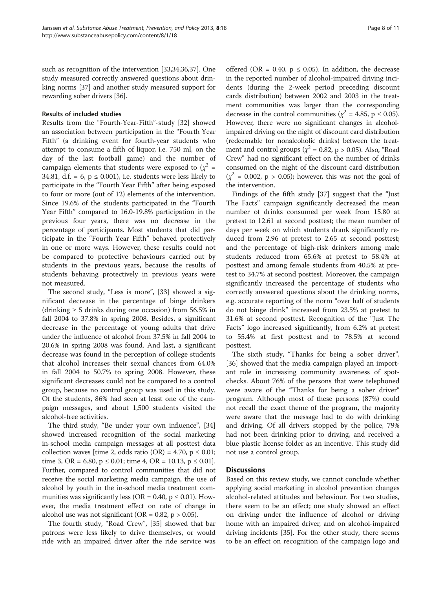such as recognition of the intervention [\[33,34,](#page-9-0)[36,37](#page-10-0)]. One study measured correctly answered questions about drinking norms [\[37](#page-10-0)] and another study measured support for rewarding sober drivers [[36](#page-10-0)].

#### Results of included studies

Results from the "Fourth-Year-Fifth"-study [[32\]](#page-9-0) showed an association between participation in the "Fourth Year Fifth" (a drinking event for fourth-year students who attempt to consume a fifth of liquor, i.e. 750 ml, on the day of the last football game) and the number of campaign elements that students were exposed to  $(\chi^2 =$ 34.81, d.f. = 6,  $p \le 0.001$ ), i.e. students were less likely to participate in the "Fourth Year Fifth" after being exposed to four or more (out of 12) elements of the intervention. Since 19.6% of the students participated in the "Fourth Year Fifth" compared to 16.0-19.8% participation in the previous four years, there was no decrease in the percentage of participants. Most students that did participate in the "Fourth Year Fifth" behaved protectively in one or more ways. However, these results could not be compared to protective behaviours carried out by students in the previous years, because the results of students behaving protectively in previous years were not measured.

The second study, "Less is more", [\[33](#page-9-0)] showed a significant decrease in the percentage of binge drinkers (drinking  $\geq 5$  drinks during one occasion) from 56.5% in fall 2004 to 37.8% in spring 2008. Besides, a significant decrease in the percentage of young adults that drive under the influence of alcohol from 37.5% in fall 2004 to 20.6% in spring 2008 was found. And last, a significant decrease was found in the perception of college students that alcohol increases their sexual chances from 64.0% in fall 2004 to 50.7% to spring 2008. However, these significant decreases could not be compared to a control group, because no control group was used in this study. Of the students, 86% had seen at least one of the campaign messages, and about 1,500 students visited the alcohol-free activities.

The third study, "Be under your own influence", [[34](#page-9-0)] showed increased recognition of the social marketing in-school media campaign messages at all posttest data collection waves [time 2, odds ratio  $(OR) = 4.70$ ,  $p \le 0.01$ ; time 3, OR = 6.80,  $p \le 0.01$ ; time 4, OR = 10.13,  $p \le 0.01$ ]. Further, compared to control communities that did not receive the social marketing media campaign, the use of alcohol by youth in the in-school media treatment communities was significantly less (OR = 0.40,  $p \le 0.01$ ). However, the media treatment effect on rate of change in alcohol use was not significant (OR =  $0.82$ , p >  $0.05$ ).

The fourth study, "Road Crew", [[35](#page-10-0)] showed that bar patrons were less likely to drive themselves, or would ride with an impaired driver after the ride service was

offered (OR = 0.40,  $p \le 0.05$ ). In addition, the decrease in the reported number of alcohol-impaired driving incidents (during the 2-week period preceding discount cards distribution) between 2002 and 2003 in the treatment communities was larger than the corresponding decrease in the control communities ( $\chi^2$  = 4.85, p ≤ 0.05). However, there were no significant changes in alcoholimpaired driving on the night of discount card distribution (redeemable for nonalcoholic drinks) between the treatment and control groups ( $\chi^2$  = 0.82, p > 0.05). Also, "Road Crew" had no significant effect on the number of drinks consumed on the night of the discount card distribution  $(\chi^2 = 0.002, p > 0.05)$ ; however, this was not the goal of the intervention.

Findings of the fifth study [\[37\]](#page-10-0) suggest that the "Just The Facts" campaign significantly decreased the mean number of drinks consumed per week from 15.80 at pretest to 12.61 at second posttest; the mean number of days per week on which students drank significantly reduced from 2.96 at pretest to 2.65 at second posttest; and the percentage of high-risk drinkers among male students reduced from 65.6% at pretest to 58.4% at posttest and among female students from 40.5% at pretest to 34.7% at second posttest. Moreover, the campaign significantly increased the percentage of students who correctly answered questions about the drinking norms, e.g. accurate reporting of the norm "over half of students do not binge drink" increased from 23.5% at pretest to 31.6% at second posttest. Recognition of the "Just The Facts" logo increased significantly, from 6.2% at pretest to 55.4% at first posttest and to 78.5% at second posttest.

The sixth study, "Thanks for being a sober driver", [[36\]](#page-10-0) showed that the media campaign played an important role in increasing community awareness of spotchecks. About 76% of the persons that were telephoned were aware of the "Thanks for being a sober driver" program. Although most of these persons (87%) could not recall the exact theme of the program, the majority were aware that the message had to do with drinking and driving. Of all drivers stopped by the police, 79% had not been drinking prior to driving, and received a blue plastic license folder as an incentive. This study did not use a control group.

#### **Discussions**

Based on this review study, we cannot conclude whether applying social marketing in alcohol prevention changes alcohol-related attitudes and behaviour. For two studies, there seem to be an effect; one study showed an effect on driving under the influence of alcohol or driving home with an impaired driver, and on alcohol-impaired driving incidents [[35](#page-10-0)]. For the other study, there seems to be an effect on recognition of the campaign logo and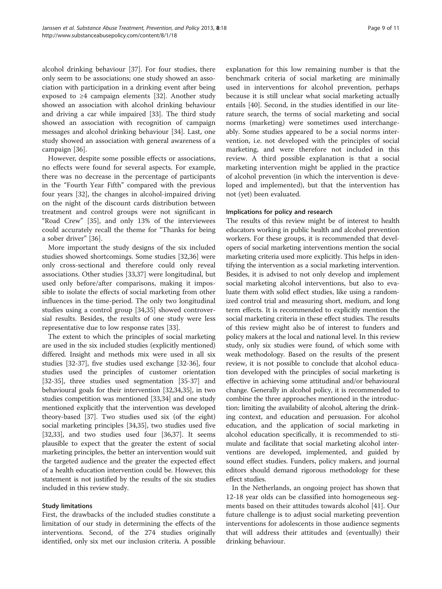alcohol drinking behaviour [\[37](#page-10-0)]. For four studies, there only seem to be associations; one study showed an association with participation in a drinking event after being exposed to ≥4 campaign elements [\[32](#page-9-0)]. Another study showed an association with alcohol drinking behaviour and driving a car while impaired [\[33](#page-9-0)]. The third study showed an association with recognition of campaign messages and alcohol drinking behaviour [\[34\]](#page-9-0). Last, one study showed an association with general awareness of a campaign [\[36\]](#page-10-0).

However, despite some possible effects or associations, no effects were found for several aspects. For example, there was no decrease in the percentage of participants in the "Fourth Year Fifth" compared with the previous four years [\[32\]](#page-9-0), the changes in alcohol-impaired driving on the night of the discount cards distribution between treatment and control groups were not significant in "Road Crew" [[35\]](#page-10-0), and only 13% of the interviewees could accurately recall the theme for "Thanks for being a sober driver" [[36\]](#page-10-0).

More important the study designs of the six included studies showed shortcomings. Some studies [\[32,](#page-9-0)[36\]](#page-10-0) were only cross-sectional and therefore could only reveal associations. Other studies [\[33](#page-9-0)[,37](#page-10-0)] were longitudinal, but used only before/after comparisons, making it impossible to isolate the effects of social marketing from other influences in the time-period. The only two longitudinal studies using a control group [\[34,](#page-9-0)[35\]](#page-10-0) showed controversial results. Besides, the results of one study were less representative due to low response rates [[33](#page-9-0)].

The extent to which the principles of social marketing are used in the six included studies (explicitly mentioned) differed. Insight and methods mix were used in all six studies [[32](#page-9-0)-[37\]](#page-10-0), five studies used exchange [[32](#page-9-0)-[36](#page-10-0)], four studies used the principles of customer orientation [[32](#page-9-0)-[35\]](#page-10-0), three studies used segmentation [\[35-37](#page-10-0)] and behavioural goals for their intervention [[32,34](#page-9-0)[,35\]](#page-10-0), in two studies competition was mentioned [[33,34](#page-9-0)] and one study mentioned explicitly that the intervention was developed theory-based [[37](#page-10-0)]. Two studies used six (of the eight) social marketing principles [\[34](#page-9-0)[,35\]](#page-10-0), two studies used five [[32,33](#page-9-0)], and two studies used four [[36,37\]](#page-10-0). It seems plausible to expect that the greater the extent of social marketing principles, the better an intervention would suit the targeted audience and the greater the expected effect of a health education intervention could be. However, this statement is not justified by the results of the six studies included in this review study.

#### Study limitations

First, the drawbacks of the included studies constitute a limitation of our study in determining the effects of the interventions. Second, of the 274 studies originally identified, only six met our inclusion criteria. A possible

explanation for this low remaining number is that the benchmark criteria of social marketing are minimally used in interventions for alcohol prevention, perhaps because it is still unclear what social marketing actually entails [[40\]](#page-10-0). Second, in the studies identified in our literature search, the terms of social marketing and social norms (marketing) were sometimes used interchangeably. Some studies appeared to be a social norms intervention, i.e. not developed with the principles of social marketing, and were therefore not included in this review. A third possible explanation is that a social marketing intervention might be applied in the practice of alcohol prevention (in which the intervention is developed and implemented), but that the intervention has not (yet) been evaluated.

#### Implications for policy and research

The results of this review might be of interest to health educators working in public health and alcohol prevention workers. For these groups, it is recommended that developers of social marketing interventions mention the social marketing criteria used more explicitly. This helps in identifying the intervention as a social marketing intervention. Besides, it is advised to not only develop and implement social marketing alcohol interventions, but also to evaluate them with solid effect studies, like using a randomized control trial and measuring short, medium, and long term effects. It is recommended to explicitly mention the social marketing criteria in these effect studies. The results of this review might also be of interest to funders and policy makers at the local and national level. In this review study, only six studies were found, of which some with weak methodology. Based on the results of the present review, it is not possible to conclude that alcohol education developed with the principles of social marketing is effective in achieving some attitudinal and/or behavioural change. Generally in alcohol policy, it is recommended to combine the three approaches mentioned in the introduction: limiting the availability of alcohol, altering the drinking context, and education and persuasion. For alcohol education, and the application of social marketing in alcohol education specifically, it is recommended to stimulate and facilitate that social marketing alcohol interventions are developed, implemented, and guided by sound effect studies. Funders, policy makers, and journal editors should demand rigorous methodology for these effect studies.

In the Netherlands, an ongoing project has shown that 12-18 year olds can be classified into homogeneous segments based on their attitudes towards alcohol [[41\]](#page-10-0). Our future challenge is to adjust social marketing prevention interventions for adolescents in those audience segments that will address their attitudes and (eventually) their drinking behaviour.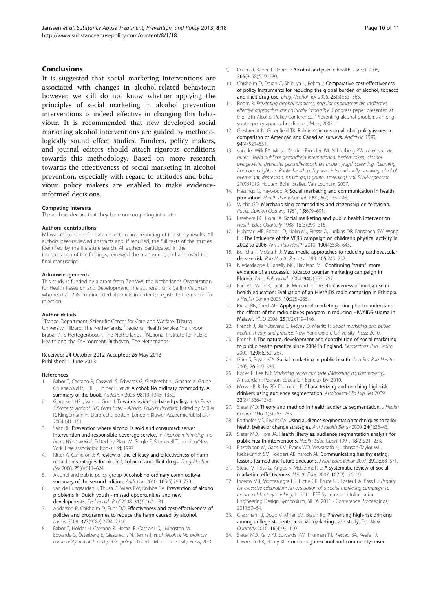### <span id="page-9-0"></span>Conclusions

It is suggested that social marketing interventions are associated with changes in alcohol-related behaviour; however, we still do not know whether applying the principles of social marketing in alcohol prevention interventions is indeed effective in changing this behaviour. It is recommended that new developed social marketing alcohol interventions are guided by methodologically sound effect studies. Funders, policy makers, and journal editors should attach rigorous conditions towards this methodology. Based on more research towards the effectiveness of social marketing in alcohol prevention, especially with regard to attitudes and behaviour, policy makers are enabled to make evidenceinformed decisions.

#### Competing interests

The authors declare that they have no competing interests.

#### Authors' contributions

MJ was responsible for data collection and reporting of the study results. All authors peer-reviewed abstracts and, if required, the full texts of the studies identified by the literature search. All authors participated in the interpretation of the findings, reviewed the manuscript, and approved the final manuscript.

#### Acknowledgements

This study is funded by a grant from ZonMW, the Netherlands Organization for Health Research and Development. The authors thank Carlijn Veldman who read all 268 non-included abstracts in order to registrate the reason for rejection.

#### Author details

<sup>1</sup>Tranzo Department, Scientific Center for Care and Welfare, Tilburg University, Tilburg, The Netherlands. <sup>2</sup>Regional Health Service "Hart voor Brabant", 's-Hertogenbosch, The Netherlands. <sup>3</sup>National Institute for Public Health and the Environment, Bilthoven, The Netherlands.

#### Received: 24 October 2012 Accepted: 26 May 2013 Published: 1 June 2013

#### References

- 1. Babor T, Cactano R, Casswell S, Edwards G, Giesbrecht N, Graham K, Grube J, Gruenewald P, Hill L, Holder H, et al: Alcohol: No ordinary commodity. A summary of the book. Addiction 2003, 98(10):1343–1350.
- 2. Garretsen HFL, Van de Goor I: Towards evidence-based policy. In In From Science to Action? 100 Years Later - Alcohol Policies Revisited. Edited by Müller R, Klingemann H. Dordrecht, Boston, London: Kluwer AcademicPublishers; 2004:141–151.
- Saltz RF: Prevention where alcohol is sold and consumed: server intervention and responsible beverage service. In Alcohol: minimising the harm What works?. Edited by Plant M, Single E, Stockwell T. London/New York: Free association Books Ltd; 1997.
- 4. Ritter A, Cameron J: A review of the efficacy and effectiveness of harm reduction strategies for alcohol, tobacco and illicit drugs. Drug Alcohol Rev 2006, 25(6):611–624.
- Alcohol and public policy group: Alcohol: no ordinary commodity-a summary of the second edition. Addiction 2010, 105(5):769–779.
- 6. van de Luitgaarden J, Thush C, Wiers RW, Knibbe RA: Prevention of alcohol problems in Dutch youth - missed opportunities and new developments. Eval Health Prof 2008, 31(2):167–181.
- 7. Anderson P, Chisholm D, Fuhr DC: Effectiveness and cost-effectiveness of policies and programmes to reduce the harm caused by alcohol. Lancet 2009, 373(9682):2234–2246.
- 8. Babor T, Holder H, Caetano R, Homel R, Casswell S, Livingston M, Edwards G, Österberg E, Giesbrecht N, Rehm J, et al: Alcohol: No ordinary commodity: research and public policy. Oxford: Oxford University Press; 2010.
- 9. Room R, Babor T, Rehm J: Alcohol and public health. Lancet 2005, 365(9458):519–530.
- 10. Chisholm D, Doran C, Shibuya K, Rehm J: Comparative cost-effectiveness of policy instruments for reducing the global burden of alcohol, tobacco and illicit drug use. Drug Alcohol Rev 2006, 25(6):553–565.
- 11. Room R: Preventing alcohol problems: popular approaches are ineffective, effective approaches are politically impossible, Congress paper presented at the 13th Alcohol Policy Conference, "Preventing alcohol problems among youth: policy approaches. Boston, Mass; 2003.
- 12. Giesbrecht N, Greenfield TK: Public opinions on alcohol policy issues: a comparison of American and Canadian surveys. Addiction 1999, 94(4):521–531.
- 13. van der Wilk EA, Melse JM, den Broeder JM, Achterberg PW: Leren van de buren. Beleid publieke gezondheid internationaal bezien: roken, alcohol, overgewicht, depressie, gezondheidsachterstanden, jeugd, screening. (Learning from our neighbors. Public health policy seen internationally: smoking, alcohol, overweight, depression, health gaps, youth, screening). vol. RIVM-rapportnr. 270051010. Houten: Bohn Stafleu Van Loghum; 2007.
- 14. Hastings G, Haywood A: Social marketing and communication in health promotion. Health Promotion Int 1991, 6(2):135–145.
- 15. Wiebe GD: Merchandising commodities and citizenship on television. Public Opinion Quaterly 1951, 15:679–691.
- 16. Lefebvre RC, Flora JA: Social marketing and public health intervention. Health Educ Quarterly 1988, 15(3):299–315.
- 17. Huhman ME, Potter LD, Nolin MJ, Piesse A, Judkins DR, Banspach SW, Wong FL: The influence of the VERB campaign on children's physical activity in 2002 to 2006. Am J Pub Health 2010, 100(4):638–645.
- 18. Bellicha T, McGrath J: Mass media approaches to reducing cardiovascular disease risk. Pub Health Reports 1990, 105:245–252.
- 19. Niederdeppe J, Farrelly MC, Haviland ML: Confirming "truth": more evidence of a successful tobacco counter marketing campaign in Florida. Am J Pub Health 2004, 94(2):255–257.
- 20. Farr AC, Witte K, Jarato K, Menard T: The effectiveness of media use in health education: Evaluation of an HIV/AIDS radio campaign in Ethiopia. J Health Comm 2005, 10:225–235.
- 21. Rimal RN, Creel AH: Applying social marketing principles to understand the effects of the radio diaries program in reducing HIV/AIDS stigma in Malawi. HMQ 2008, 25(1/2):119–146.
- 22. French J, Blair-Stevens C, McVey D, Merritt R: Social marketing and public health. Theory and practice. New York: Oxford University Press; 2010.
- 23. French J: The nature, development and contribution of social marketing to public health practice since 2004 in England. Perspectives Pub Health 2009, 129(6):262–267.
- 24. Grier S, Bryant CA: Social marketing in public health. Ann Rev Pub Health 2005, 26:319–339.
- 25. Kotler P, Lee NR: Marketing tegen armoede (Marketing against poverty). Amsterdam: Pearson Education Benelux bv; 2010.
- 26. Moss HB, Kirby SD, Donodeo F: Characterizing and reaching high-risk drinkers using audience segmentation. Alcoholism-Clin Exp Res 2009, 33(8):1336–1345.
- 27. Slater MD: Theory and method in health audience segmentation. J Health Comm 1996, 1(3):267–283.
- 28. Forthofer MS, Bryant CA: Using audience-segmentation techniques to tailor health behavior change strategies. Am J Health Behav 2000, 24(1):36-43.
- 29. Slater MD, Flora JA: Health lifestyles: audience segmentation analysis for public-health interventions. Health Educ Quart 1991, 18(2):221–233.
- 30. Fitzgibbon M, Gans KM, Evans WD, Viswanath K, Johnson-Taylor WL, Krebs-Smith SM, Rodgers AB, Yaroch AL: Communicating healthy eating: lessons learned and future directions. J Nutr Educ Behav 2007, 39(2):S63–S71.
- 31. Stead M, Ross G, Angus K, McDermott L: A systematic review of social marketing effectiveness. Health Educ 2007, 107(2):126-191.
- 32. Incerto MB, Montealegre LE, Tuttle CR, Bruce SE, Foster HA, Bass EJ: Penalty for excessive celebration: An evaluation of a social marketing campaign to reduce celebratory drinking, In 2011 IEEE Systems and Information Engineering Design Symposium, SIEDS 2011 - Conference Proceedings; 2011:59–64.
- 33. Glassman TJ, Dodd V, Miller EM, Braun RE: Preventing high-risk drinking among college students: a social marketing case study. Soc Mark Quarterly 2010, 16(4):92–110.
- 34. Slater MD, Kelly KJ, Edwards RW, Thurman PJ, Plested BA, Keefe TJ, Lawrence FR, Henry KL: Combining in-school and community-based